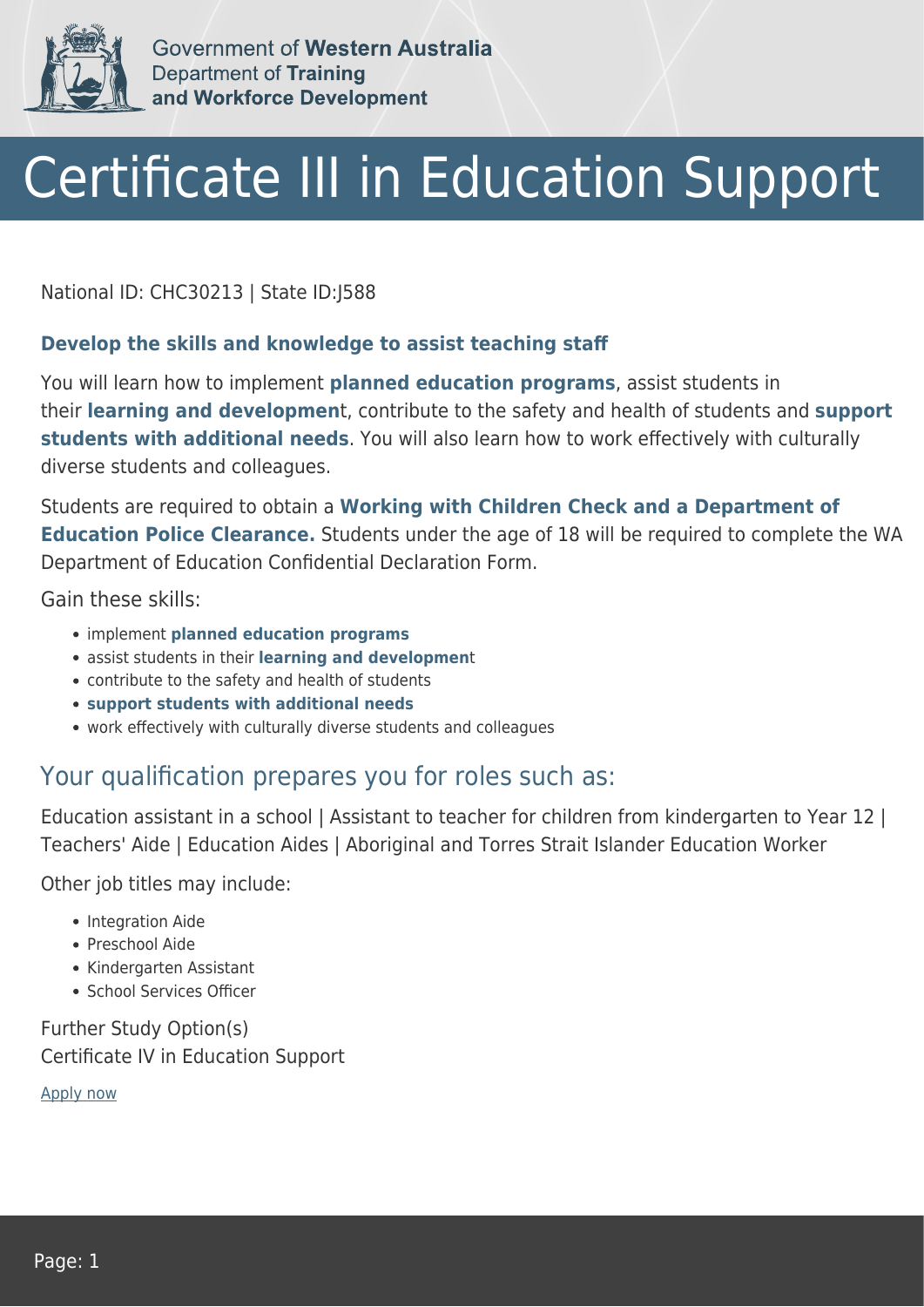

Government of Western Australia **Department of Training** and Workforce Development

# Certificate III in Education Support

National ID: CHC30213 | State ID:J588

#### **Develop the skills and knowledge to assist teaching staff**

You will learn how to implement **planned education programs**, assist students in their **learning and developmen**t, contribute to the safety and health of students and **support students with additional needs**. You will also learn how to work effectively with culturally diverse students and colleagues.

Students are required to obtain a **Working with Children Check and a Department of Education Police Clearance.** Students under the age of 18 will be required to complete the WA Department of Education Confidential Declaration Form.

Gain these skills:

- implement **planned education programs**
- assist students in their **learning and developmen**t
- contribute to the safety and health of students
- **support students with additional needs**
- work effectively with culturally diverse students and colleagues

#### Your qualification prepares you for roles such as:

Education assistant in a school | Assistant to teacher for children from kindergarten to Year 12 | Teachers' Aide | Education Aides | Aboriginal and Torres Strait Islander Education Worker

Other job titles may include:

- Integration Aide
- Preschool Aide
- Kindergarten Assistant
- School Services Officer

Further Study Option(s) Certificate IV in Education Support

[Apply now](https://tasonline.tafe.wa.edu.au/Default.aspx)